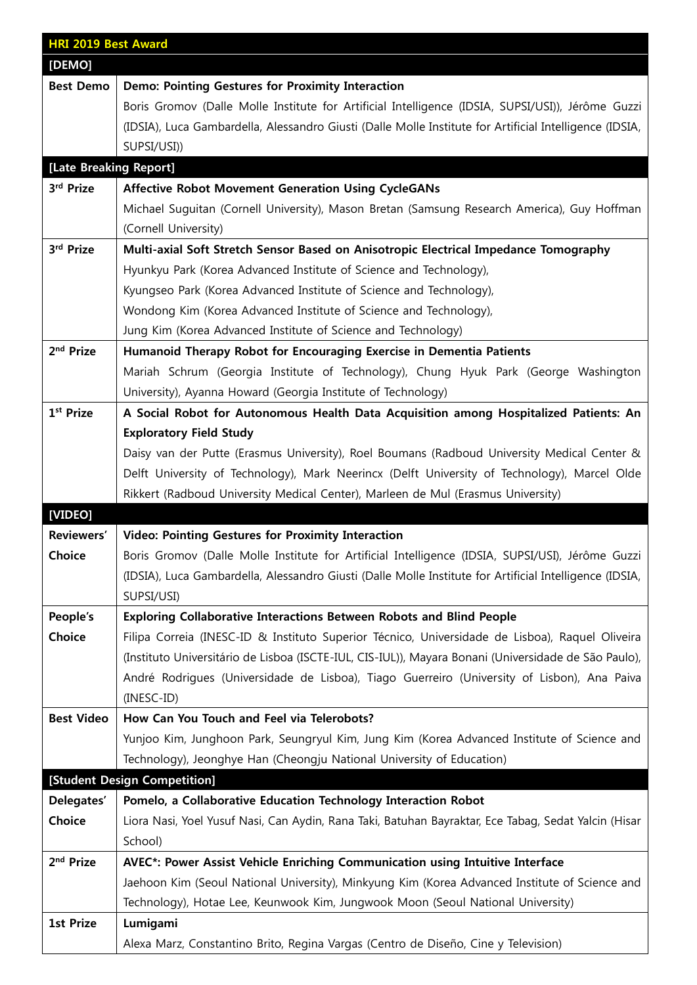| <b>HRI 2019 Best Award</b> |                                                                                                         |  |
|----------------------------|---------------------------------------------------------------------------------------------------------|--|
| [DEMO]                     |                                                                                                         |  |
| <b>Best Demo</b>           | Demo: Pointing Gestures for Proximity Interaction                                                       |  |
|                            | Boris Gromov (Dalle Molle Institute for Artificial Intelligence (IDSIA, SUPSI/USI)), Jérôme Guzzi       |  |
|                            | (IDSIA), Luca Gambardella, Alessandro Giusti (Dalle Molle Institute for Artificial Intelligence (IDSIA, |  |
|                            | SUPSI/USI))                                                                                             |  |
| [Late Breaking Report]     |                                                                                                         |  |
| 3rd Prize                  | <b>Affective Robot Movement Generation Using CycleGANs</b>                                              |  |
|                            | Michael Suguitan (Cornell University), Mason Bretan (Samsung Research America), Guy Hoffman             |  |
|                            | (Cornell University)                                                                                    |  |
| 3rd Prize                  | Multi-axial Soft Stretch Sensor Based on Anisotropic Electrical Impedance Tomography                    |  |
|                            | Hyunkyu Park (Korea Advanced Institute of Science and Technology),                                      |  |
|                            | Kyungseo Park (Korea Advanced Institute of Science and Technology),                                     |  |
|                            | Wondong Kim (Korea Advanced Institute of Science and Technology),                                       |  |
|                            | Jung Kim (Korea Advanced Institute of Science and Technology)                                           |  |
| 2 <sup>nd</sup> Prize      | Humanoid Therapy Robot for Encouraging Exercise in Dementia Patients                                    |  |
|                            | Mariah Schrum (Georgia Institute of Technology), Chung Hyuk Park (George Washington                     |  |
|                            | University), Ayanna Howard (Georgia Institute of Technology)                                            |  |
| 1 <sup>st</sup> Prize      | A Social Robot for Autonomous Health Data Acquisition among Hospitalized Patients: An                   |  |
|                            | <b>Exploratory Field Study</b>                                                                          |  |
|                            | Daisy van der Putte (Erasmus University), Roel Boumans (Radboud University Medical Center &             |  |
|                            | Delft University of Technology), Mark Neerincx (Delft University of Technology), Marcel Olde            |  |
|                            | Rikkert (Radboud University Medical Center), Marleen de Mul (Erasmus University)                        |  |
| [VIDEO]                    |                                                                                                         |  |
| Reviewers'                 | <b>Video: Pointing Gestures for Proximity Interaction</b>                                               |  |
| Choice                     | Boris Gromov (Dalle Molle Institute for Artificial Intelligence (IDSIA, SUPSI/USI), Jérôme Guzzi        |  |
|                            | (IDSIA), Luca Gambardella, Alessandro Giusti (Dalle Molle Institute for Artificial Intelligence (IDSIA, |  |
|                            | SUPSI/USI)                                                                                              |  |
| People's                   | <b>Exploring Collaborative Interactions Between Robots and Blind People</b>                             |  |
| Choice                     | Filipa Correia (INESC-ID & Instituto Superior Técnico, Universidade de Lisboa), Raquel Oliveira         |  |
|                            | (Instituto Universitário de Lisboa (ISCTE-IUL, CIS-IUL)), Mayara Bonani (Universidade de São Paulo),    |  |
|                            | André Rodrigues (Universidade de Lisboa), Tiago Guerreiro (University of Lisbon), Ana Paiva             |  |
|                            | (INESC-ID)                                                                                              |  |
| <b>Best Video</b>          | How Can You Touch and Feel via Telerobots?                                                              |  |
|                            | Yunjoo Kim, Junghoon Park, Seungryul Kim, Jung Kim (Korea Advanced Institute of Science and             |  |
|                            | Technology), Jeonghye Han (Cheongju National University of Education)                                   |  |
|                            | [Student Design Competition]                                                                            |  |
| Delegates'                 | Pomelo, a Collaborative Education Technology Interaction Robot                                          |  |
| Choice                     | Liora Nasi, Yoel Yusuf Nasi, Can Aydin, Rana Taki, Batuhan Bayraktar, Ece Tabag, Sedat Yalcin (Hisar    |  |
|                            | School)                                                                                                 |  |
| 2 <sup>nd</sup> Prize      | AVEC*: Power Assist Vehicle Enriching Communication using Intuitive Interface                           |  |
|                            | Jaehoon Kim (Seoul National University), Minkyung Kim (Korea Advanced Institute of Science and          |  |
|                            | Technology), Hotae Lee, Keunwook Kim, Jungwook Moon (Seoul National University)                         |  |
| <b>1st Prize</b>           | Lumigami                                                                                                |  |
|                            | Alexa Marz, Constantino Brito, Regina Vargas (Centro de Diseño, Cine y Television)                      |  |